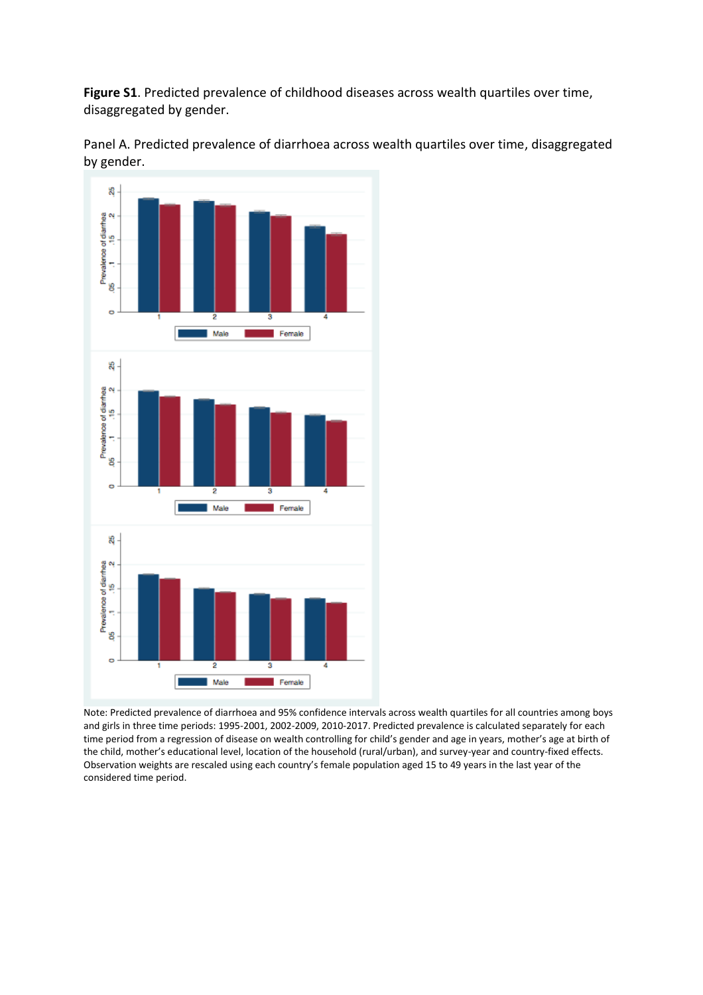**Figure S1**. Predicted prevalence of childhood diseases across wealth quartiles over time, disaggregated by gender.





Note: Predicted prevalence of diarrhoea and 95% confidence intervals across wealth quartiles for all countries among boys and girls in three time periods: 1995-2001, 2002-2009, 2010-2017. Predicted prevalence is calculated separately for each time period from a regression of disease on wealth controlling for child's gender and age in years, mother's age at birth of the child, mother's educational level, location of the household (rural/urban), and survey-year and country-fixed effects. Observation weights are rescaled using each country's female population aged 15 to 49 years in the last year of the considered time period.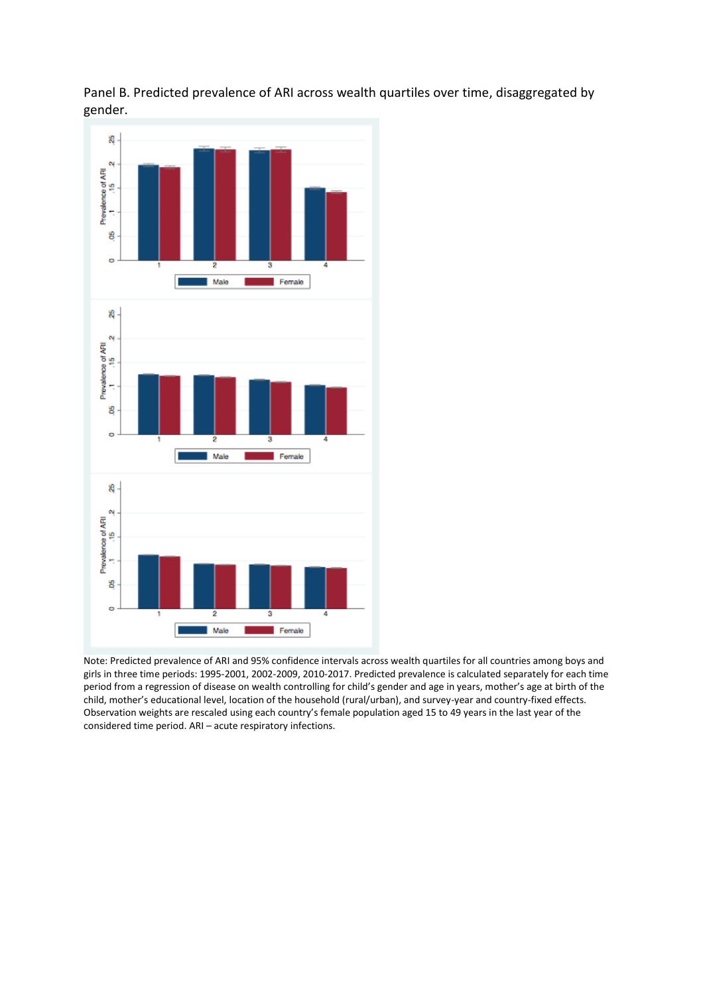



Note: Predicted prevalence of ARI and 95% confidence intervals across wealth quartiles for all countries among boys and girls in three time periods: 1995-2001, 2002-2009, 2010-2017. Predicted prevalence is calculated separately for each time period from a regression of disease on wealth controlling for child's gender and age in years, mother's age at birth of the child, mother's educational level, location of the household (rural/urban), and survey-year and country-fixed effects. Observation weights are rescaled using each country's female population aged 15 to 49 years in the last year of the considered time period. ARI – acute respiratory infections.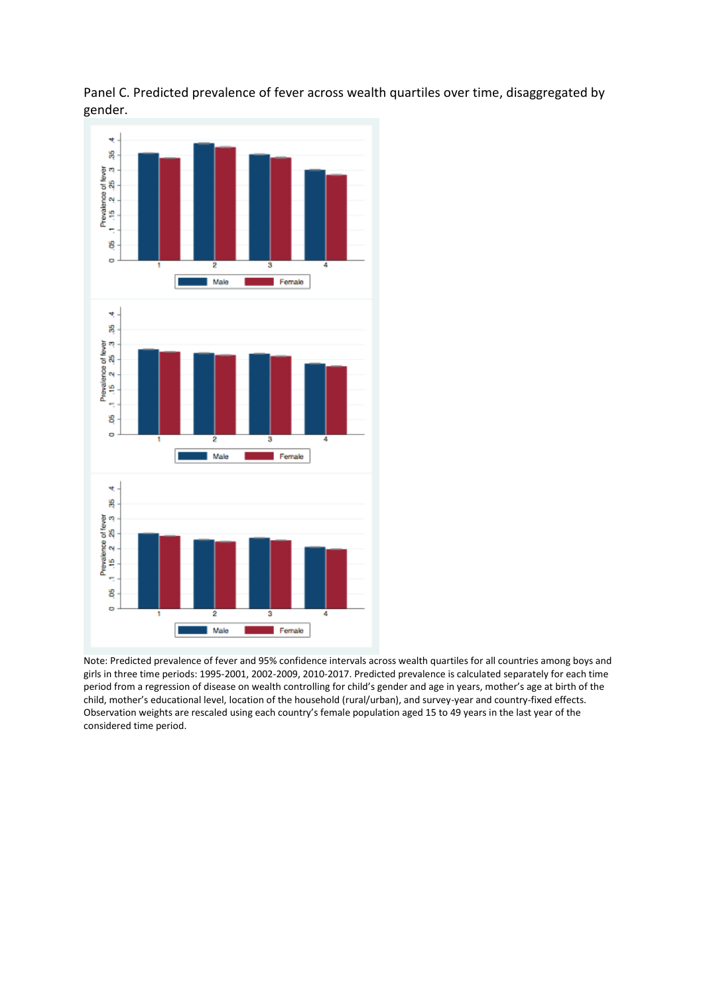



Note: Predicted prevalence of fever and 95% confidence intervals across wealth quartiles for all countries among boys and girls in three time periods: 1995-2001, 2002-2009, 2010-2017. Predicted prevalence is calculated separately for each time period from a regression of disease on wealth controlling for child's gender and age in years, mother's age at birth of the child, mother's educational level, location of the household (rural/urban), and survey-year and country-fixed effects. Observation weights are rescaled using each country's female population aged 15 to 49 years in the last year of the considered time period.